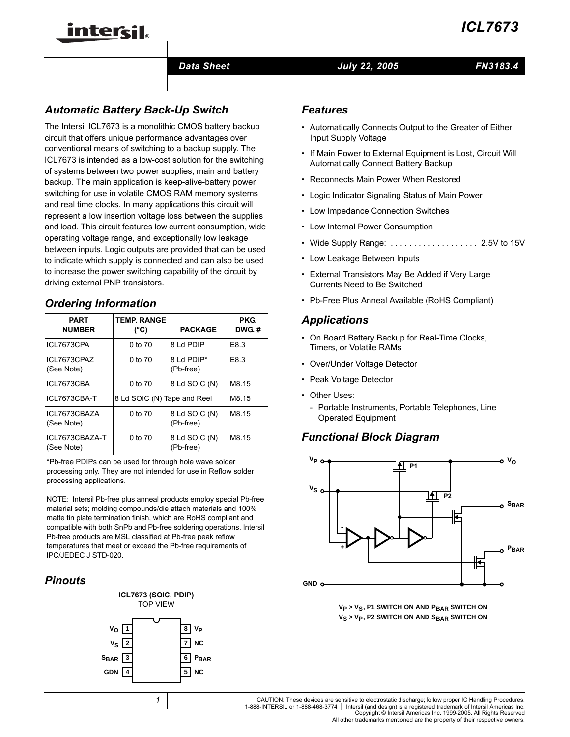

#### *Data Sheet July 22, 2005*

*FN3183.4*

# *Automatic Battery Back-Up Switch*

inter<del>ci</del>l.

The Intersil ICL7673 is a monolithic CMOS battery backup circuit that offers unique performance advantages over conventional means of switching to a backup supply. The ICL7673 is intended as a low-cost solution for the switching of systems between two power supplies; main and battery backup. The main application is keep-alive-battery power switching for use in volatile CMOS RAM memory systems and real time clocks. In many applications this circuit will represent a low insertion voltage loss between the supplies and load. This circuit features low current consumption, wide operating voltage range, and exceptionally low leakage between inputs. Logic outputs are provided that can be used to indicate which supply is connected and can also be used to increase the power switching capability of the circuit by driving external PNP transistors.

### *Ordering Information*

| <b>PART</b><br><b>NUMBER</b> | <b>TEMP, RANGE</b><br>(°C)  | <b>PACKAGE</b>             | PKG.<br>DWG.# |
|------------------------------|-----------------------------|----------------------------|---------------|
| ICL7673CPA                   | 0 to 70                     | 8 Ld PDIP                  | E8.3          |
| ICL7673CPAZ<br>(See Note)    | 0 to 70                     | 8 Ld PDIP*<br>(Pb-free)    | E8.3          |
| ICL7673CBA                   | 0 to 70                     | 8 Ld SOIC (N)              | M8.15         |
| ICL7673CBA-T                 | 8 Ld SOIC (N) Tape and Reel | M8.15                      |               |
| ICL7673CBAZA<br>(See Note)   | 0 to 70                     | 8 Ld SOIC (N)<br>(Pb-free) | M8.15         |
| ICL7673CBAZA-T<br>(See Note) | 0 to 70                     | 8 Ld SOIC (N)<br>(Pb-free) | M8.15         |

\*Pb-free PDIPs can be used for through hole wave solder processing only. They are not intended for use in Reflow solder processing applications.

NOTE: Intersil Pb-free plus anneal products employ special Pb-free material sets; molding compounds/die attach materials and 100% matte tin plate termination finish, which are RoHS compliant and compatible with both SnPb and Pb-free soldering operations. Intersil Pb-free products are MSL classified at Pb-free peak reflow temperatures that meet or exceed the Pb-free requirements of IPC/JEDEC J STD-020.

### *Pinouts*



### *Features*

- Automatically Connects Output to the Greater of Either Input Supply Voltage
- If Main Power to External Equipment is Lost, Circuit Will Automatically Connect Battery Backup
- Reconnects Main Power When Restored
- Logic Indicator Signaling Status of Main Power
- Low Impedance Connection Switches
- Low Internal Power Consumption
- Wide Supply Range: ..................... 2.5V to 15V
- Low Leakage Between Inputs
- External Transistors May Be Added if Very Large Currents Need to Be Switched
- Pb-Free Plus Anneal Available (RoHS Compliant)

### *Applications*

- On Board Battery Backup for Real-Time Clocks, Timers, or Volatile RAMs
- Over/Under Voltage Detector
- Peak Voltage Detector
- Other Uses:
	- Portable Instruments, Portable Telephones, Line Operated Equipment

### *Functional Block Diagram*





CAUTION: These devices are sensitive to electrostatic discharge; follow proper IC Handling Procedures. 1-888-INTERSIL or 1-888-468-3774 | Intersil (and design) is a registered trademark of Intersil Americas Inc. Copyright © Intersil Americas Inc. 1999-2005. All Rights Reserved

All other trademarks mentioned are the property of their respective owners.

*1*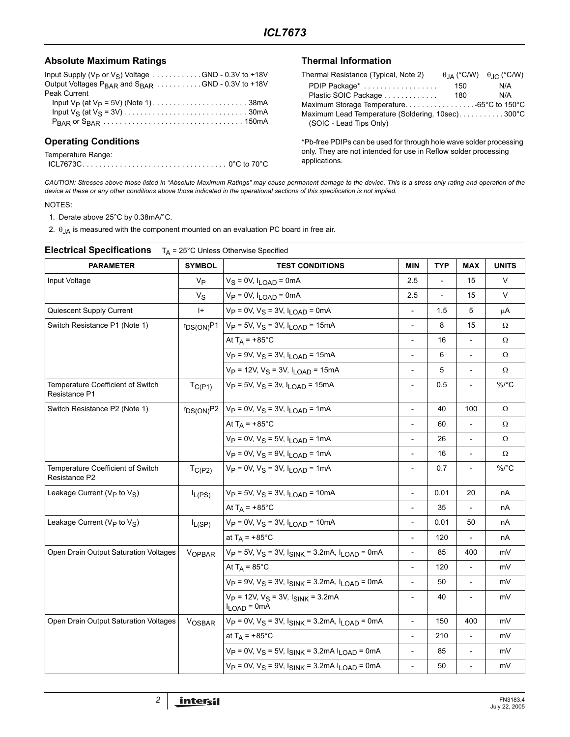### Absolute Maximum Ratings **Thermal Information**

| Input Supply ( $V_P$ or $V_S$ ) Voltage GND - 0.3V to +18V               |  |
|--------------------------------------------------------------------------|--|
| Output Voltages $P_{\text{BAR}}$ and $S_{\text{BAR}}$ GND - 0.3V to +18V |  |
| Peak Current                                                             |  |
|                                                                          |  |
|                                                                          |  |
|                                                                          |  |
|                                                                          |  |

### **Operating Conditions**

| Temperature Range: |  |
|--------------------|--|
|                    |  |

| Thermal Resistance (Typical, Note 2)             |     | $\theta$ <sub>JA</sub> (°C/W) $\theta$ <sub>JC</sub> (°C/W) |
|--------------------------------------------------|-----|-------------------------------------------------------------|
| PDIP Package*                                    | 150 | N/A                                                         |
| Plastic SOIC Package                             | 180 | N/A                                                         |
|                                                  |     |                                                             |
| Maximum Lead Temperature (Soldering, 10sec)300°C |     |                                                             |
| (SOIC - Lead Tips Only)                          |     |                                                             |

\*Pb-free PDIPs can be used for through hole wave solder processing only. They are not intended for use in Reflow solder processing applications.

*CAUTION: Stresses above those listed in "Absolute Maximum Ratings" may cause permanent damage to the device. This is a stress only rating and operation of the device at these or any other conditions above those indicated in the operational sections of this specification is not implied.*

#### NOTES:

1. Derate above 25°C by 0.38mA/°C.

2.  $\theta_{JA}$  is measured with the component mounted on an evaluation PC board in free air.

| <b>PARAMETER</b>                                    | <b>SYMBOL</b>  | <b>TEST CONDITIONS</b>                                                             | <b>MIN</b>                   | <b>TYP</b>               | <b>MAX</b>               | <b>UNITS</b> |
|-----------------------------------------------------|----------------|------------------------------------------------------------------------------------|------------------------------|--------------------------|--------------------------|--------------|
| Input Voltage                                       | Vр             | $V_S = 0V$ , $I_{LOAD} = 0mA$                                                      | 2.5                          | $\overline{\phantom{a}}$ | 15                       | V            |
|                                                     | $V_S$          | $V_P = 0V$ , $I_{LOAD} = 0mA$                                                      | 2.5                          |                          | 15                       | V            |
| Quiescent Supply Current                            | $ + $          | $V_P = 0V$ , $V_S = 3V$ , $I_{LOAD} = 0mA$                                         | $\overline{\phantom{0}}$     | 1.5                      | 5                        | μA           |
| Switch Resistance P1 (Note 1)                       | $r_{DS(ON)}P1$ | $V_P = 5V$ , $V_S = 3V$ , $I_{LOAD} = 15mA$                                        | $\overline{\phantom{m}}$     | 8                        | 15                       | Ω            |
|                                                     |                | At $T_A$ = +85°C                                                                   | $\overline{a}$               | 16                       |                          | Ω            |
|                                                     |                | $V_P = 9V$ , $V_S = 3V$ , $I_{LOAD} = 15mA$                                        | $\overline{\phantom{a}}$     | 6                        | $\blacksquare$           | Ω            |
|                                                     |                | $V_P = 12V$ , $V_S = 3V$ , $I_{LOAD} = 15mA$                                       | L,                           | 5                        |                          | Ω            |
| Temperature Coefficient of Switch<br>Resistance P1  | $T_{C(P1)}$    | $V_P = 5V$ , $V_S = 3v$ , $I_{LOAD} = 15mA$                                        | $\qquad \qquad \blacksquare$ | 0.5                      | $\overline{\phantom{a}}$ | $\%$ /°C     |
| Switch Resistance P2 (Note 1)                       |                | $r_{DS(ON)}P2$   V <sub>P</sub> = 0V, V <sub>S</sub> = 3V, I <sub>LOAD</sub> = 1mA | $\overline{\phantom{a}}$     | 40                       | 100                      | Ω            |
|                                                     |                | At $T_A$ = +85°C                                                                   | $\overline{\phantom{a}}$     | 60                       | $\overline{\phantom{a}}$ | Ω            |
|                                                     |                | $V_P = 0V$ , $V_S = 5V$ , $I_{LOAD} = 1mA$                                         | $\frac{1}{2}$                | 26                       | $\overline{\phantom{a}}$ | Ω            |
|                                                     |                | $V_P = 0V$ , $V_S = 9V$ , $I_{LOAD} = 1mA$                                         | $\blacksquare$               | 16                       |                          | Ω            |
| Temperature Coefficient of Switch<br>Resistance P2  | $T_{C(P2)}$    | $V_P = 0V$ , $V_S = 3V$ , $I_I_{OAD} = 1mA$                                        | $\overline{\phantom{a}}$     | 0.7                      | $\overline{\phantom{a}}$ | $\%$ /°C     |
| Leakage Current ( $V_P$ to $V_S$ )                  | $I_{L(PS)}$    | $V_P = 5V$ , $V_S = 3V$ , $I_I_{OAD} = 10mA$                                       | $\overline{\phantom{0}}$     | 0.01                     | 20                       | nA           |
|                                                     |                | At $T_A$ = +85°C                                                                   |                              | 35                       | $\overline{\phantom{a}}$ | nА           |
| Leakage Current (V <sub>P</sub> to V <sub>S</sub> ) | $I_{L(SP)}$    | $V_P = 0V$ , $V_S = 3V$ , $I_{LOAD} = 10mA$                                        | $\overline{\phantom{a}}$     | 0.01                     | 50                       | nA           |
|                                                     |                | at $T_A$ = +85°C                                                                   | $\overline{\phantom{m}}$     | 120                      | $\overline{a}$           | nA           |
| Open Drain Output Saturation Voltages               | <b>VOPBAR</b>  | $V_P = 5V$ , $V_S = 3V$ , $I_{SINK} = 3.2mA$ , $I_{LOAD} = 0mA$                    | $\frac{1}{2}$                | 85                       | 400                      | mV           |
|                                                     |                | At $T_A = 85^{\circ}$ C                                                            | $\frac{1}{2}$                | 120                      |                          | mV           |
|                                                     |                | $V_P = 9V$ , $V_S = 3V$ , $I_{SINK} = 3.2mA$ , $I_{LOAD} = 0mA$                    | $\overline{\phantom{a}}$     | 50                       | $\overline{\phantom{a}}$ | mV           |
|                                                     |                | $V_P$ = 12V, $V_S$ = 3V, $I_{SINK}$ = 3.2mA<br>$I_{LOAD} = 0$ mA                   | $\overline{\phantom{a}}$     | 40                       |                          | mV           |
| Open Drain Output Saturation Voltages               | VOSBAR         | $V_P = 0V$ , $V_S = 3V$ , $I_{SINK} = 3.2mA$ , $I_{LOAD} = 0mA$                    | $\overline{\phantom{a}}$     | 150                      | 400                      | mV           |
|                                                     |                | at $T_A$ = +85°C                                                                   | $\overline{\phantom{a}}$     | 210                      |                          | mV           |
|                                                     |                | $V_P = 0V$ , $V_S = 5V$ , $I_{SINK} = 3.2mA I_{LOAD} = 0mA$                        | $\overline{\phantom{m}}$     | 85                       | $\overline{\phantom{a}}$ | mV           |
|                                                     |                | $V_P = 0V$ , $V_S = 9V$ , $I_{SINK} = 3.2mA I_{LOAD} = 0mA$                        | $\overline{a}$               | 50                       |                          | mV           |
|                                                     |                |                                                                                    |                              |                          |                          |              |

# **Electrical Specifications** TA = 25°C Unless Otherwise Specified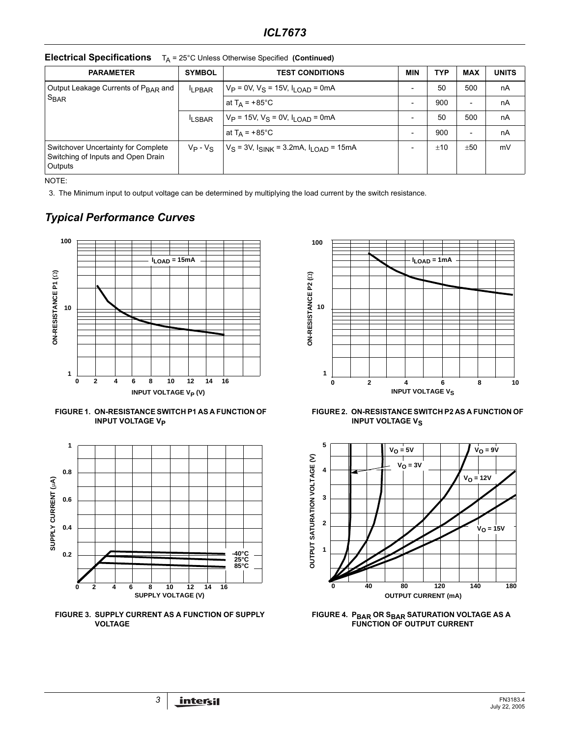| <b>PARAMETER</b>                                                                     | <b>SYMBOL</b> | <b>TEST CONDITIONS</b>                              | <b>MIN</b>               | TYP | <b>MAX</b>               | <b>UNITS</b> |
|--------------------------------------------------------------------------------------|---------------|-----------------------------------------------------|--------------------------|-----|--------------------------|--------------|
| Output Leakage Currents of P <sub>BAR</sub> and<br>$S_{\text{BAR}}$                  | <b>LPBAR</b>  | $V_P = 0V$ , $V_S = 15V$ , $I_I_{OAD} = 0mA$        |                          | 50  | 500                      | nA           |
|                                                                                      |               | at T <sub>A</sub> = +85°C                           | $\overline{\phantom{0}}$ | 900 | $\overline{\phantom{a}}$ | nA           |
|                                                                                      | <b>LSBAR</b>  | $V_P = 15V$ , $V_S = 0V$ , $I_I_{OAD} = 0mA$        |                          | 50  | 500                      | nA           |
|                                                                                      |               | at $T_A$ = +85°C                                    |                          | 900 | $\overline{\phantom{a}}$ | nA           |
| Switchover Uncertainty for Complete<br>Switching of Inputs and Open Drain<br>Outputs | $V_P - V_S$   | $V_S = 3V$ , $I_{SINK} = 3.2mA$ , $I_{LOAD} = 15mA$ |                          | ±10 | ±50                      | mV           |

**Electrical Specifications**  $T_A = 25^\circ$ C Unless Otherwise Specified **(Continued)** 

NOTE:

3. The Minimum input to output voltage can be determined by multiplying the load current by the switch resistance.

# *Typical Performance Curves*







**FIGURE 3. SUPPLY CURRENT AS A FUNCTION OF SUPPLY VOLTAGE**







**FIGURE 4. PBAR OR SBAR SATURATION VOLTAGE AS A FUNCTION OF OUTPUT CURRENT**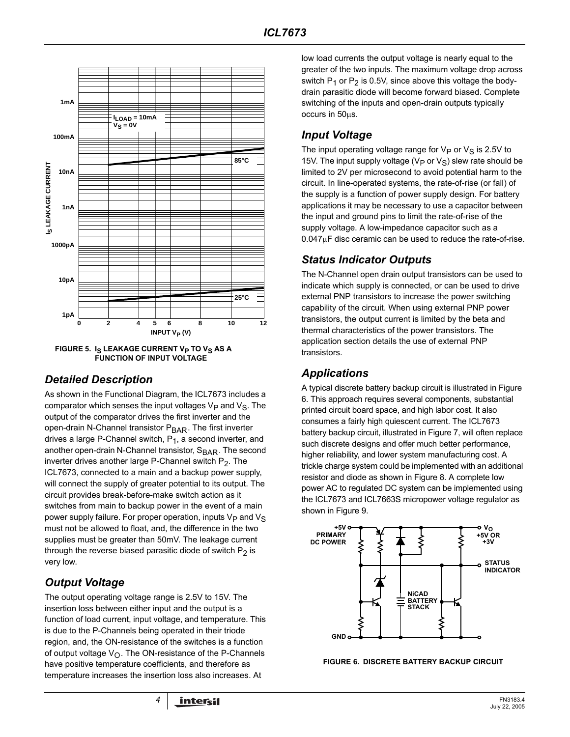

FIGURE 5. I<sub>S</sub> LEAKAGE CURRENT V<sub>P</sub> TO V<sub>S</sub> AS A **FUNCTION OF INPUT VOLTAGE**

### *Detailed Description*

As shown in the Functional Diagram, the ICL7673 includes a comparator which senses the input voltages  $V_P$  and  $V_S$ . The output of the comparator drives the first inverter and the open-drain N-Channel transistor P<sub>BAR</sub>. The first inverter drives a large P-Channel switch,  $P_1$ , a second inverter, and another open-drain N-Channel transistor, S<sub>BAR</sub>. The second inverter drives another large P-Channel switch  $P_2$ . The ICL7673, connected to a main and a backup power supply, will connect the supply of greater potential to its output. The circuit provides break-before-make switch action as it switches from main to backup power in the event of a main power supply failure. For proper operation, inputs  $V_P$  and  $V_S$ must not be allowed to float, and, the difference in the two supplies must be greater than 50mV. The leakage current through the reverse biased parasitic diode of switch  $P_2$  is very low.

# *Output Voltage*

The output operating voltage range is 2.5V to 15V. The insertion loss between either input and the output is a function of load current, input voltage, and temperature. This is due to the P-Channels being operated in their triode region, and, the ON-resistance of the switches is a function of output voltage  $V_{\Omega}$ . The ON-resistance of the P-Channels have positive temperature coefficients, and therefore as temperature increases the insertion loss also increases. At

low load currents the output voltage is nearly equal to the greater of the two inputs. The maximum voltage drop across switch  $P_1$  or  $P_2$  is 0.5V, since above this voltage the bodydrain parasitic diode will become forward biased. Complete switching of the inputs and open-drain outputs typically occurs in 50µs.

### *Input Voltage*

The input operating voltage range for  $V_P$  or  $V_S$  is 2.5V to 15V. The input supply voltage ( $V_P$  or  $V_S$ ) slew rate should be limited to 2V per microsecond to avoid potential harm to the circuit. In line-operated systems, the rate-of-rise (or fall) of the supply is a function of power supply design. For battery applications it may be necessary to use a capacitor between the input and ground pins to limit the rate-of-rise of the supply voltage. A low-impedance capacitor such as a  $0.047\mu$ F disc ceramic can be used to reduce the rate-of-rise.

# *Status Indicator Outputs*

The N-Channel open drain output transistors can be used to indicate which supply is connected, or can be used to drive external PNP transistors to increase the power switching capability of the circuit. When using external PNP power transistors, the output current is limited by the beta and thermal characteristics of the power transistors. The application section details the use of external PNP **transistors** 

# *Applications*

A typical discrete battery backup circuit is illustrated in Figure 6. This approach requires several components, substantial printed circuit board space, and high labor cost. It also consumes a fairly high quiescent current. The ICL7673 battery backup circuit, illustrated in Figure 7, will often replace such discrete designs and offer much better performance, higher reliability, and lower system manufacturing cost. A trickle charge system could be implemented with an additional resistor and diode as shown in Figure 8. A complete low power AC to regulated DC system can be implemented using the ICL7673 and ICL7663S micropower voltage regulator as shown in Figure 9.



**FIGURE 6. DISCRETE BATTERY BACKUP CIRCUIT**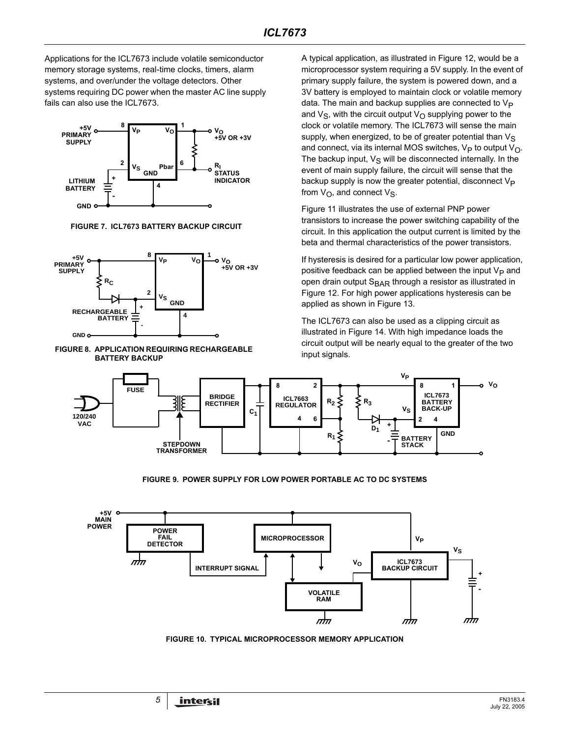Applications for the ICL7673 include volatile semiconductor memory storage systems, real-time clocks, timers, alarm systems, and over/under the voltage detectors. Other systems requiring DC power when the master AC line supply fails can also use the ICL7673.



**FIGURE 7. ICL7673 BATTERY BACKUP CIRCUIT**



#### **FIGURE 8. APPLICATION REQUIRING RECHARGEABLE BATTERY BACKUP**

A typical application, as illustrated in Figure 12, would be a microprocessor system requiring a 5V supply. In the event of primary supply failure, the system is powered down, and a 3V battery is employed to maintain clock or volatile memory data. The main and backup supplies are connected to  $V_P$ and  $V_{\rm S}$ , with the circuit output  $V_{\rm O}$  supplying power to the clock or volatile memory. The ICL7673 will sense the main supply, when energized, to be of greater potential than  $V_S$ and connect, via its internal MOS switches,  $V_P$  to output  $V_O$ . The backup input,  $V_S$  will be disconnected internally. In the event of main supply failure, the circuit will sense that the backup supply is now the greater potential, disconnect  $V_P$ from  $V_{\Omega}$ , and connect  $V_{S}$ .

Figure 11 illustrates the use of external PNP power transistors to increase the power switching capability of the circuit. In this application the output current is limited by the beta and thermal characteristics of the power transistors.

If hysteresis is desired for a particular low power application, positive feedback can be applied between the input  $V_P$  and open drain output S<sub>BAR</sub> through a resistor as illustrated in Figure 12. For high power applications hysteresis can be applied as shown in Figure 13.

The ICL7673 can also be used as a clipping circuit as illustrated in Figure 14. With high impedance loads the circuit output will be nearly equal to the greater of the two input signals.



**FIGURE 9. POWER SUPPLY FOR LOW POWER PORTABLE AC TO DC SYSTEMS**



**FIGURE 10. TYPICAL MICROPROCESSOR MEMORY APPLICATION**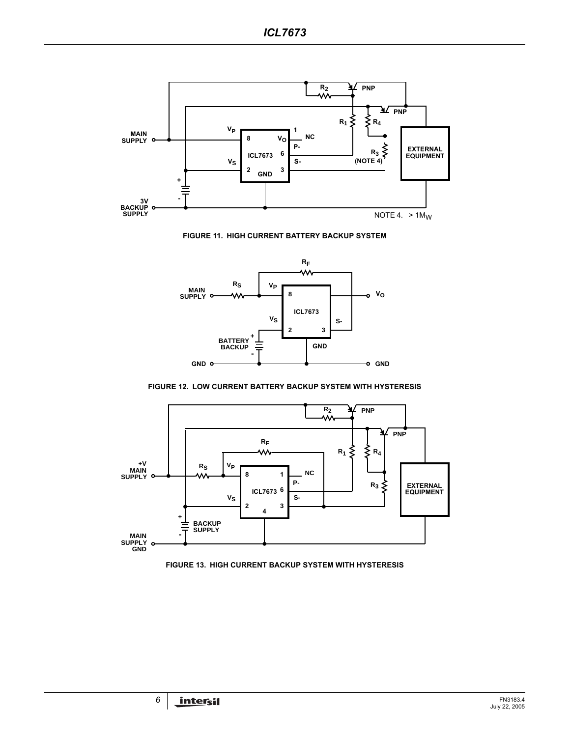

**FIGURE 11. HIGH CURRENT BATTERY BACKUP SYSTEM**



**FIGURE 12. LOW CURRENT BATTERY BACKUP SYSTEM WITH HYSTERESIS**